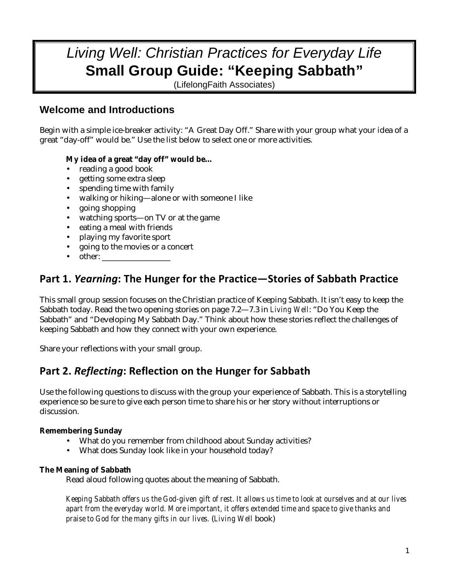# *Living Well: Christian Practices for Everyday Life*  **Small Group Guide: "Keeping Sabbath"**

(LifelongFaith Associates)

### **Welcome and Introductions**

Begin with a simple ice-breaker activity: "A Great Day Off." Share with your group what your idea of a great "day-off" would be." Use the list below to select one or more activities.

### **My idea of a great "day off" would be…**

- reading a good book
- getting some extra sleep
- spending time with family
- walking or hiking—alone or with someone I like
- going shopping
- watching sports—on TV or at the game
- eating a meal with friends
- playing my favorite sport
- going to the movies or a concert
- other:

## Part 1. Yearning: The Hunger for the Practice-Stories of Sabbath Practice

This small group session focuses on the Christian practice of Keeping Sabbath. It isn't easy to keep the Sabbath today. Read the two opening stories on page 7.2—7.3 in *Living Well*: "Do You Keep the Sabbath" and "Developing My Sabbath Day." Think about how these stories reflect the challenges of keeping Sabbath and how they connect with your own experience.

Share your reflections with your small group.

## Part 2. Reflecting: Reflection on the Hunger for Sabbath

Use the following questions to discuss with the group your experience of Sabbath. This is a storytelling experience so be sure to give each person time to share his or her story without interruptions or discussion.

### **Remembering Sunday**

- What do you remember from childhood about Sunday activities?
- What does Sunday look like in your household today?

### **The Meaning of Sabbath**

Read aloud following quotes about the meaning of Sabbath.

*Keeping Sabbath offers us the God-given gift of rest. It allows us time to look at ourselves and at our lives apart from the everyday world. More important, it offers extended time and space to give thanks and praise to God for the many gifts in our lives.* (*Living Well* book)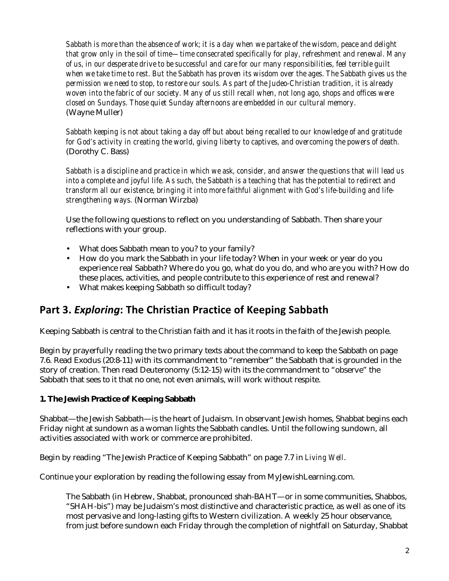*Sabbath is more than the absence of work; it is a day when we partake of the wisdom, peace and delight that grow only in the soil of time—time consecrated specifically for play, refreshment and renewal. Many of us, in our desperate drive to be successful and care for our many responsibilities, feel terrible guilt when we take time to rest. But the Sabbath has proven its wisdom over the ages. The Sabbath gives us the permission we need to stop, to restore our souls. As part of the Judeo-Christian tradition, it is already woven into the fabric of our society. Many of us still recall when, not long ago, shops and offices were closed on Sundays. Those quiet Sunday afternoons are embedded in our cultural memory.* (Wayne Muller)

*Sabbath keeping is not about taking a day off but about being recalled to our knowledge of and gratitude for God's activity in creating the world, giving liberty to captives, and overcoming the powers of death.* (Dorothy C. Bass)

*Sabbath is a discipline and practice in which we ask, consider, and answer the questions that will lead us into a complete and joyful life. As such, the Sabbath is a teaching that has the potential to redirect and transform all our existence, bringing it into more faithful alignment with God's life-building and lifestrengthening ways.* (Norman Wirzba)

Use the following questions to reflect on you understanding of Sabbath. Then share your reflections with your group.

- What does Sabbath mean to you? to your family?
- How do you mark the Sabbath in your life today? When in your week or year do you experience real Sabbath? Where do you go, what do you do, and who are you with? How do these places, activities, and people contribute to this experience of rest and renewal?
- What makes keeping Sabbath so difficult today?

## Part 3. Exploring: The Christian Practice of Keeping Sabbath

Keeping Sabbath is central to the Christian faith and it has it roots in the faith of the Jewish people.

Begin by prayerfully reading the two primary texts about the command to keep the Sabbath on page 7.6. Read Exodus (20:8-11) with its commandment to "remember" the Sabbath that is grounded in the story of creation. Then read Deuteronomy (5:12-15) with its the commandment to "observe" the Sabbath that sees to it that no one, not even animals, will work without respite.

### **1. The Jewish Practice of Keeping Sabbath**

Shabbat—the Jewish Sabbath—is the heart of Judaism. In observant Jewish homes, Shabbat begins each Friday night at sundown as a woman lights the Sabbath candles. Until the following sundown, all activities associated with work or commerce are prohibited.

Begin by reading "The Jewish Practice of Keeping Sabbath" on page 7.7 in *Living Well*.

Continue your exploration by reading the following essay from MyJewishLearning.com.

The Sabbath (in Hebrew, Shabbat, pronounced shah-BAHT—or in some communities, Shabbos, "SHAH-bis") may be Judaism's most distinctive and characteristic practice, as well as one of its most pervasive and long-lasting gifts to Western civilization. A weekly 25 hour observance, from just before sundown each Friday through the completion of nightfall on Saturday, Shabbat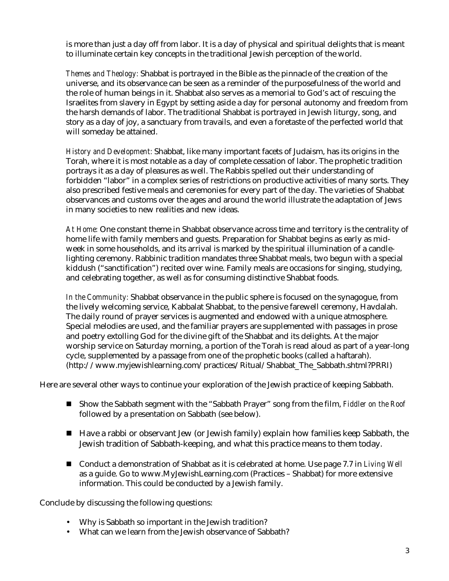is more than just a day off from labor. It is a day of physical and spiritual delights that is meant to illuminate certain key concepts in the traditional Jewish perception of the world.

*Themes and Theology:* Shabbat is portrayed in the Bible as the pinnacle of the creation of the universe, and its observance can be seen as a reminder of the purposefulness of the world and the role of human beings in it. Shabbat also serves as a memorial to God's act of rescuing the Israelites from slavery in Egypt by setting aside a day for personal autonomy and freedom from the harsh demands of labor. The traditional Shabbat is portrayed in Jewish liturgy, song, and story as a day of joy, a sanctuary from travails, and even a foretaste of the perfected world that will someday be attained.

*History and Development:* Shabbat, like many important facets of Judaism, has its origins in the Torah, where it is most notable as a day of complete cessation of labor. The prophetic tradition portrays it as a day of pleasures as well. The Rabbis spelled out their understanding of forbidden "labor" in a complex series of restrictions on productive activities of many sorts. They also prescribed festive meals and ceremonies for every part of the day. The varieties of Shabbat observances and customs over the ages and around the world illustrate the adaptation of Jews in many societies to new realities and new ideas.

*At Home:* One constant theme in Shabbat observance across time and territory is the centrality of home life with family members and guests. Preparation for Shabbat begins as early as midweek in some households, and its arrival is marked by the spiritual illumination of a candlelighting ceremony. Rabbinic tradition mandates three Shabbat meals, two begun with a special kiddush ("sanctification") recited over wine. Family meals are occasions for singing, studying, and celebrating together, as well as for consuming distinctive Shabbat foods.

*In the Community:* Shabbat observance in the public sphere is focused on the synagogue, from the lively welcoming service, Kabbalat Shabbat, to the pensive farewell ceremony, Havdalah. The daily round of prayer services is augmented and endowed with a unique atmosphere. Special melodies are used, and the familiar prayers are supplemented with passages in prose and poetry extolling God for the divine gift of the Shabbat and its delights. At the major worship service on Saturday morning, a portion of the Torah is read aloud as part of a year-long cycle, supplemented by a passage from one of the prophetic books (called a haftarah). (http://www.myjewishlearning.com/practices/Ritual/Shabbat\_The\_Sabbath.shtml?PRRI)

Here are several other ways to continue your exploration of the Jewish practice of keeping Sabbath.

- Show the Sabbath segment with the "Sabbath Prayer" song from the film, *Fiddler on the Roof* followed by a presentation on Sabbath (see below).
- Have a rabbi or observant Jew (or Jewish family) explain how families keep Sabbath, the Jewish tradition of Sabbath-keeping, and what this practice means to them today.
- Conduct a demonstration of Shabbat as it is celebrated at home. Use page 7.7 in *Living Well* as a guide. Go to www.MyJewishLearning.com (Practices – Shabbat) for more extensive information. This could be conducted by a Jewish family.

Conclude by discussing the following questions:

- Why is Sabbath so important in the Jewish tradition?
- What can we learn from the Jewish observance of Sabbath?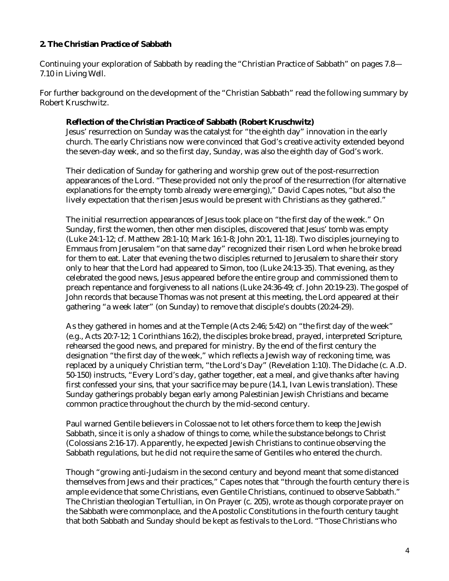### **2. The Christian Practice of Sabbath**

Continuing your exploration of Sabbath by reading the "Christian Practice of Sabbath" on pages 7.8— 7.10 in *Living Well*.

For further background on the development of the "Christian Sabbath" read the following summary by Robert Kruschwitz.

#### **Reflection of the Christian Practice of Sabbath (Robert Kruschwitz)**

Jesus' resurrection on Sunday was the catalyst for "the eighth day" innovation in the early church. The early Christians now were convinced that God's creative activity extended beyond the seven-day week, and so the first day, Sunday, was also the eighth day of God's work.

Their dedication of Sunday for gathering and worship grew out of the post-resurrection appearances of the Lord. "These provided not only the proof of the resurrection (for alternative explanations for the empty tomb already were emerging)," David Capes notes, "but also the lively expectation that the risen Jesus would be present with Christians as they gathered."

The initial resurrection appearances of Jesus took place on "the first day of the week." On Sunday, first the women, then other men disciples, discovered that Jesus' tomb was empty (Luke 24:1-12; cf. Matthew 28:1-10; Mark 16:1-8; John 20:1, 11-18). Two disciples journeying to Emmaus from Jerusalem "on that same day" recognized their risen Lord when he broke bread for them to eat. Later that evening the two disciples returned to Jerusalem to share their story only to hear that the Lord had appeared to Simon, too (Luke 24:13-35). That evening, as they celebrated the good news, Jesus appeared before the entire group and commissioned them to preach repentance and forgiveness to all nations (Luke 24:36-49; cf. John 20:19-23). The gospel of John records that because Thomas was not present at this meeting, the Lord appeared at their gathering "a week later" (on Sunday) to remove that disciple's doubts (20:24-29).

As they gathered in homes and at the Temple (Acts 2:46; 5:42) on "the first day of the week" (e.g., Acts 20:7-12; 1 Corinthians 16:2), the disciples broke bread, prayed, interpreted Scripture, rehearsed the good news, and prepared for ministry. By the end of the first century the designation "the first day of the week," which reflects a Jewish way of reckoning time, was replaced by a uniquely Christian term, "the Lord's Day" (Revelation 1:10). The Didache (c. A.D. 50-150) instructs, "Every Lord's day, gather together, eat a meal, and give thanks after having first confessed your sins, that your sacrifice may be pure (14.1, Ivan Lewis translation). These Sunday gatherings probably began early among Palestinian Jewish Christians and became common practice throughout the church by the mid-second century.

Paul warned Gentile believers in Colossae not to let others force them to keep the Jewish Sabbath, since it is only a shadow of things to come, while the substance belongs to Christ (Colossians 2:16-17). Apparently, he expected Jewish Christians to continue observing the Sabbath regulations, but he did not require the same of Gentiles who entered the church.

Though "growing anti-Judaism in the second century and beyond meant that some distanced themselves from Jews and their practices," Capes notes that "through the fourth century there is ample evidence that some Christians, even Gentile Christians, continued to observe Sabbath." The Christian theologian Tertullian, in On Prayer (c. 205), wrote as though corporate prayer on the Sabbath were commonplace, and the Apostolic Constitutions in the fourth century taught that both Sabbath and Sunday should be kept as festivals to the Lord. "Those Christians who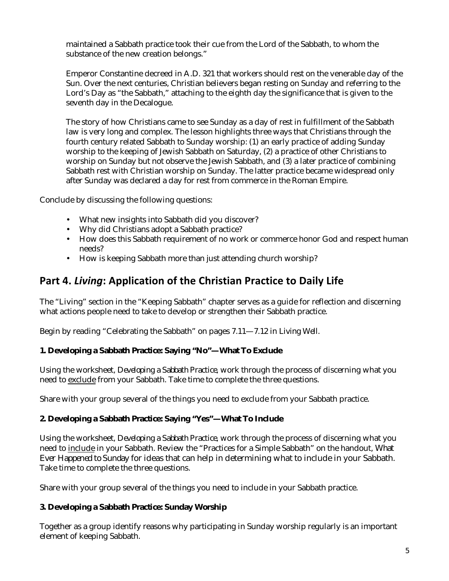maintained a Sabbath practice took their cue from the Lord of the Sabbath, to whom the substance of the new creation belongs."

Emperor Constantine decreed in A.D. 321 that workers should rest on the venerable day of the Sun. Over the next centuries, Christian believers began resting on Sunday and referring to the Lord's Day as "the Sabbath," attaching to the eighth day the significance that is given to the seventh day in the Decalogue.

The story of how Christians came to see Sunday as a day of rest in fulfillment of the Sabbath law is very long and complex. The lesson highlights three ways that Christians through the fourth century related Sabbath to Sunday worship: (1) an early practice of adding Sunday worship to the keeping of Jewish Sabbath on Saturday, (2) a practice of other Christians to worship on Sunday but not observe the Jewish Sabbath, and (3) a later practice of combining Sabbath rest with Christian worship on Sunday. The latter practice became widespread only after Sunday was declared a day for rest from commerce in the Roman Empire.

Conclude by discussing the following questions:

- What new insights into Sabbath did you discover?
- Why did Christians adopt a Sabbath practice?
- How does this Sabbath requirement of no work or commerce honor God and respect human needs?
- How is keeping Sabbath more than just attending church worship?

## Part 4. Living: Application of the Christian Practice to Daily Life

The "Living" section in the "Keeping Sabbath" chapter serves as a guide for reflection and discerning what actions people need to take to develop or strengthen their Sabbath practice.

Begin by reading "Celebrating the Sabbath" on pages 7.11—7.12 in *Living Well*.

#### **1. Developing a Sabbath Practice: Saying "No"—What To Exclude**

Using the worksheet, *Developing a Sabbath Practice*, work through the process of discerning what you need to exclude from your Sabbath. Take time to complete the three questions.

Share with your group several of the things you need to exclude from your Sabbath practice.

#### **2. Developing a Sabbath Practice: Saying "Yes"—What To Include**

Using the worksheet, *Developing a Sabbath Practice*, work through the process of discerning what you need to include in your Sabbath. Review the "Practices for a Simple Sabbath" on the handout, *What Ever Happened to Sunday* for ideas that can help in determining what to include in your Sabbath. Take time to complete the three questions.

Share with your group several of the things you need to include in your Sabbath practice.

#### **3. Developing a Sabbath Practice: Sunday Worship**

Together as a group identify reasons why participating in Sunday worship regularly is an important element of keeping Sabbath.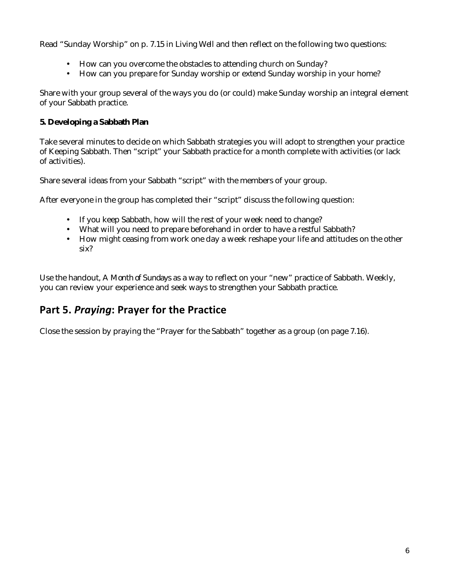Read "Sunday Worship" on p. 7.15 in *Living Well* and then reflect on the following two questions:

- How can you overcome the obstacles to attending church on Sunday?
- How can you prepare for Sunday worship or extend Sunday worship in your home?

Share with your group several of the ways you do (or could) make Sunday worship an integral element of your Sabbath practice.

### **5. Developing a Sabbath Plan**

Take several minutes to decide on which Sabbath strategies you will adopt to strengthen your practice of Keeping Sabbath. Then "script" your Sabbath practice for a month complete with activities (or lack of activities).

Share several ideas from your Sabbath "script" with the members of your group.

After everyone in the group has completed their "script" discuss the following question:

- If you keep Sabbath, how will the rest of your week need to change?
- What will you need to prepare beforehand in order to have a restful Sabbath?
- How might ceasing from work one day a week reshape your life and attitudes on the other six?

Use the handout, *A Month of Sundays* as a way to reflect on your "new" practice of Sabbath. Weekly, you can review your experience and seek ways to strengthen your Sabbath practice.

## Part 5. Praying: Prayer for the Practice

Close the session by praying the "Prayer for the Sabbath" together as a group (on page 7.16).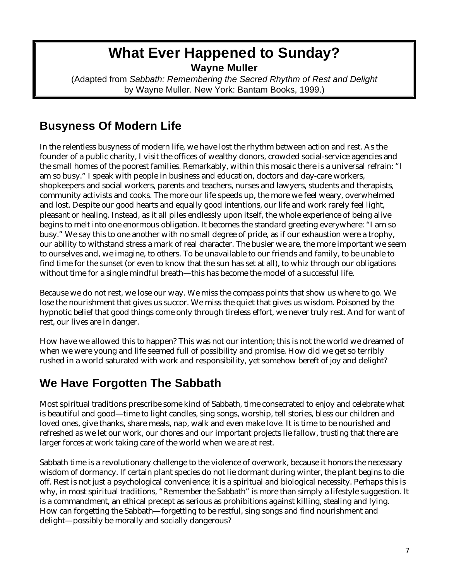## **What Ever Happened to Sunday? Wayne Muller**

(Adapted from *Sabbath: Remembering the Sacred Rhythm of Rest and Delight* by Wayne Muller. New York: Bantam Books, 1999.)

## **Busyness Of Modern Life**

In the relentless busyness of modern life, we have lost the rhythm between action and rest. As the founder of a public charity, I visit the offices of wealthy donors, crowded social-service agencies and the small homes of the poorest families. Remarkably, within this mosaic there is a universal refrain: "I am so busy." I speak with people in business and education, doctors and day-care workers, shopkeepers and social workers, parents and teachers, nurses and lawyers, students and therapists, community activists and cooks. The more our life speeds up, the more we feel weary, overwhelmed and lost. Despite our good hearts and equally good intentions, our life and work rarely feel light, pleasant or healing. Instead, as it all piles endlessly upon itself, the whole experience of being alive begins to melt into one enormous obligation. It becomes the standard greeting everywhere: "I am so busy." We say this to one another with no small degree of pride, as if our exhaustion were a trophy, our ability to withstand stress a mark of real character. The busier we are, the more important we seem to ourselves and, we imagine, to others. To be unavailable to our friends and family, to be unable to find time for the sunset (or even to know that the sun has set at all), to whiz through our obligations without time for a single mindful breath—this has become the model of a successful life.

Because we do not rest, we lose our way. We miss the compass points that show us where to go. We lose the nourishment that gives us succor. We miss the quiet that gives us wisdom. Poisoned by the hypnotic belief that good things come only through tireless effort, we never truly rest. And for want of rest, our lives are in danger.

How have we allowed this to happen? This was not our intention; this is not the world we dreamed of when we were young and life seemed full of possibility and promise. How did we get so terribly rushed in a world saturated with work and responsibility, yet somehow bereft of joy and delight?

## **We Have Forgotten The Sabbath**

Most spiritual traditions prescribe some kind of Sabbath, time consecrated to enjoy and celebrate what is beautiful and good—time to light candles, sing songs, worship, tell stories, bless our children and loved ones, give thanks, share meals, nap, walk and even make love. It is time to be nourished and refreshed as we let our work, our chores and our important projects lie fallow, trusting that there are larger forces at work taking care of the world when we are at rest.

Sabbath time is a revolutionary challenge to the violence of overwork, because it honors the necessary wisdom of dormancy. If certain plant species do not lie dormant during winter, the plant begins to die off. Rest is not just a psychological convenience; it is a spiritual and biological necessity. Perhaps this is why, in most spiritual traditions, "Remember the Sabbath" is more than simply a lifestyle suggestion. It is a commandment, an ethical precept as serious as prohibitions against killing, stealing and lying. How can forgetting the Sabbath—forgetting to be restful, sing songs and find nourishment and delight—possibly be morally and socially dangerous?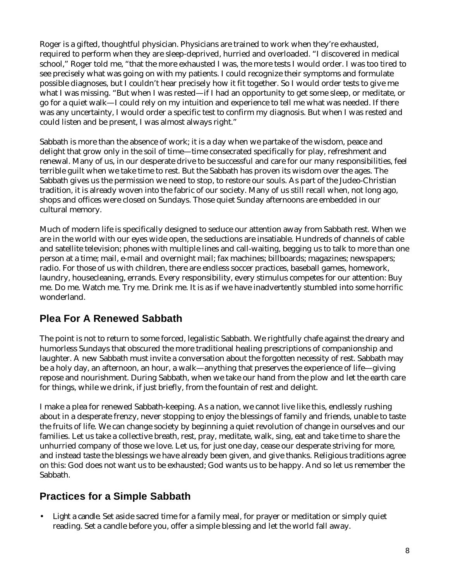Roger is a gifted, thoughtful physician. Physicians are trained to work when they're exhausted, required to perform when they are sleep-deprived, hurried and overloaded. "I discovered in medical school," Roger told me, "that the more exhausted I was, the more tests I would order. I was too tired to see precisely what was going on with my patients. I could recognize their symptoms and formulate possible diagnoses, but I couldn't hear precisely how it fit together. So I would order tests to give me what I was missing. "But when I was rested—if I had an opportunity to get some sleep, or meditate, or go for a quiet walk—I could rely on my intuition and experience to tell me what was needed. If there was any uncertainty, I would order a specific test to confirm my diagnosis. But when I was rested and could listen and be present, I was almost always right."

Sabbath is more than the absence of work; it is a day when we partake of the wisdom, peace and delight that grow only in the soil of time—time consecrated specifically for play, refreshment and renewal. Many of us, in our desperate drive to be successful and care for our many responsibilities, feel terrible guilt when we take time to rest. But the Sabbath has proven its wisdom over the ages. The Sabbath gives us the permission we need to stop, to restore our souls. As part of the Judeo-Christian tradition, it is already woven into the fabric of our society. Many of us still recall when, not long ago, shops and offices were closed on Sundays. Those quiet Sunday afternoons are embedded in our cultural memory.

Much of modern life is specifically designed to seduce our attention away from Sabbath rest. When we are in the world with our eyes wide open, the seductions are insatiable. Hundreds of channels of cable and satellite television; phones with multiple lines and call-waiting, begging us to talk to more than one person at a time; mail, e-mail and overnight mail; fax machines; billboards; magazines; newspapers; radio. For those of us with children, there are endless soccer practices, baseball games, homework, laundry, housecleaning, errands. Every responsibility, every stimulus competes for our attention: Buy me. Do me. Watch me. Try me. Drink me. It is as if we have inadvertently stumbled into some horrific wonderland.

## **Plea For A Renewed Sabbath**

The point is not to return to some forced, legalistic Sabbath. We rightfully chafe against the dreary and humorless Sundays that obscured the more traditional healing prescriptions of companionship and laughter. A new Sabbath must invite a conversation about the forgotten necessity of rest. Sabbath may be a holy day, an afternoon, an hour, a walk—anything that preserves the experience of life—giving repose and nourishment. During Sabbath, when we take our hand from the plow and let the earth care for things, while we drink, if just briefly, from the fountain of rest and delight.

I make a plea for renewed Sabbath-keeping. As a nation, we cannot live like this, endlessly rushing about in a desperate frenzy, never stopping to enjoy the blessings of family and friends, unable to taste the fruits of life. We can change society by beginning a quiet revolution of change in ourselves and our families. Let us take a collective breath, rest, pray, meditate, walk, sing, eat and take time to share the unhurried company of those we love. Let us, for just one day, cease our desperate striving for more, and instead taste the blessings we have already been given, and give thanks. Religious traditions agree on this: God does not want us to be exhausted; God wants us to be happy. And so let us remember the **Sabbath** 

## **Practices for a Simple Sabbath**

• *Light a candle.* Set aside sacred time for a family meal, for prayer or meditation or simply quiet reading. Set a candle before you, offer a simple blessing and let the world fall away.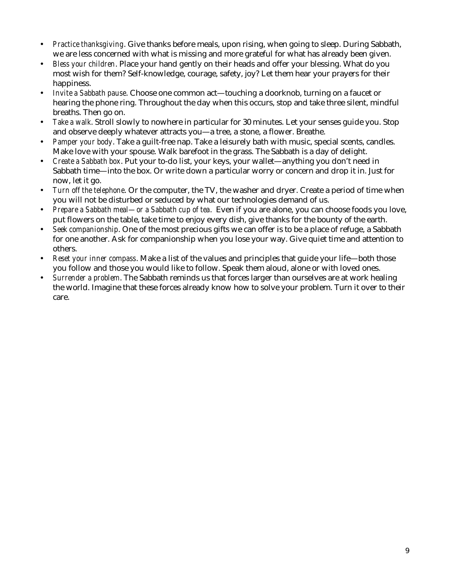- *Practice thanksgiving*. Give thanks before meals, upon rising, when going to sleep. During Sabbath, we are less concerned with what is missing and more grateful for what has already been given.
- *Bless your children*. Place your hand gently on their heads and offer your blessing. What do you most wish for them? Self-knowledge, courage, safety, joy? Let them hear your prayers for their happiness.
- *Invite a Sabbath pause*. Choose one common act—touching a doorknob, turning on a faucet or hearing the phone ring. Throughout the day when this occurs, stop and take three silent, mindful breaths. Then go on.
- *Take a walk*. Stroll slowly to nowhere in particular for 30 minutes. Let your senses guide you. Stop and observe deeply whatever attracts you—a tree, a stone, a flower. Breathe.
- *Pamper your body*. Take a guilt-free nap. Take a leisurely bath with music, special scents, candles. Make love with your spouse. Walk barefoot in the grass. The Sabbath is a day of delight.
- *Create a Sabbath box*. Put your to-do list, your keys, your wallet—anything you don't need in Sabbath time—into the box. Or write down a particular worry or concern and drop it in. Just for now, let it go.
- *Turn off the telephone*. Or the computer, the TV, the washer and dryer. Create a period of time when you will not be disturbed or seduced by what our technologies demand of us.
- *Prepare a Sabbath meal—or a Sabbath cup of tea*. Even if you are alone, you can choose foods you love, put flowers on the table, take time to enjoy every dish, give thanks for the bounty of the earth.
- *Seek companionship*. One of the most precious gifts we can offer is to be a place of refuge, a Sabbath for one another. Ask for companionship when you lose your way. Give quiet time and attention to others.
- *Reset your inner compass*. Make a list of the values and principles that guide your life—both those you follow and those you would like to follow. Speak them aloud, alone or with loved ones.
- *Surrender a problem*. The Sabbath reminds us that forces larger than ourselves are at work healing the world. Imagine that these forces already know how to solve your problem. Turn it over to their care.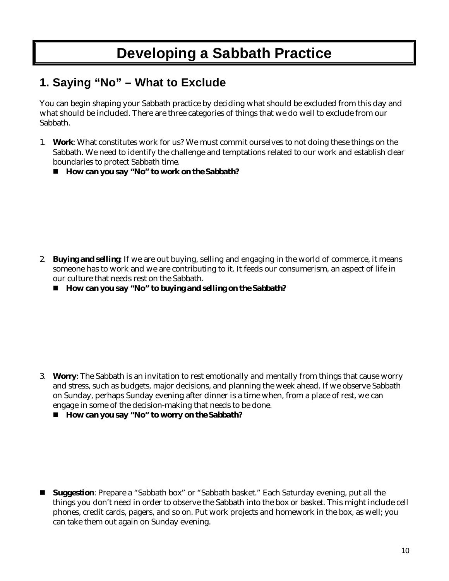# **Developing a Sabbath Practice**

## **1. Saying "No" – What to Exclude**

You can begin shaping your Sabbath practice by deciding what should be excluded from this day and what should be included. There are three categories of things that we do well to exclude from our Sabbath.

- 1. *Work*: What constitutes work for us? We must commit ourselves to not doing these things on the Sabbath. We need to identify the challenge and temptations related to our work and establish clear boundaries to protect Sabbath time.
	- *How can you say "No" to work on the Sabbath?*

- 2. *Buying and selling*: If we are out buying, selling and engaging in the world of commerce, it means someone has to work and we are contributing to it. It feeds our consumerism, an aspect of life in our culture that needs rest on the Sabbath.
	- *How can you say "No" to buying and selling on the Sabbath?*

- 3. *Worry*: The Sabbath is an invitation to rest emotionally and mentally from things that cause worry and stress, such as budgets, major decisions, and planning the week ahead. If we observe Sabbath on Sunday, perhaps Sunday evening after dinner is a time when, from a place of rest, we can engage in some of the decision-making that needs to be done.
	- *How can you say "No" to worry on the Sabbath?*

 **Suggestion**: Prepare a "Sabbath box" or "Sabbath basket." Each Saturday evening, put all the things you don't need in order to observe the Sabbath into the box or basket. This might include cell phones, credit cards, pagers, and so on. Put work projects and homework in the box, as well; you can take them out again on Sunday evening.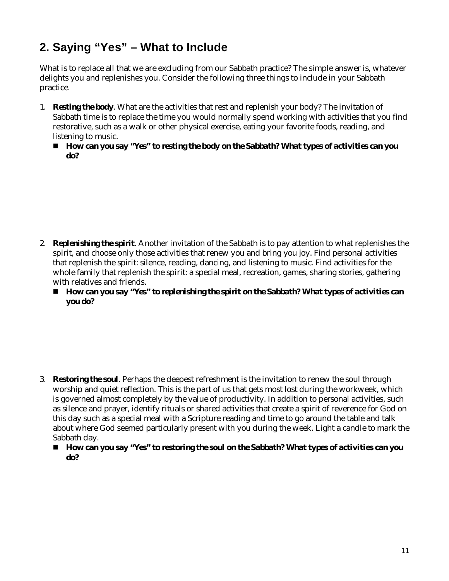## **2. Saying "Yes" – What to Include**

What is to replace all that we are excluding from our Sabbath practice? The simple answer is, whatever delights you and replenishes you. Consider the following three things to include in your Sabbath practice.

- 1. *Resting the body*. What are the activities that rest and replenish your body? The invitation of Sabbath time is to replace the time you would normally spend working with activities that you find restorative, such as a walk or other physical exercise, eating your favorite foods, reading, and listening to music.
	- *How can you say "Yes" to resting the body on the Sabbath? What types of activities can you do?*

- 2. *Replenishing the spirit*. Another invitation of the Sabbath is to pay attention to what replenishes the spirit, and choose only those activities that renew you and bring you joy. Find personal activities that replenish the spirit: silence, reading, dancing, and listening to music. Find activities for the whole family that replenish the spirit: a special meal, recreation, games, sharing stories, gathering with relatives and friends.
	- *How can you say "Yes" to replenishing the spirit on the Sabbath? What types of activities can you do?*

- 3. *Restoring the soul*. Perhaps the deepest refreshment is the invitation to renew the soul through worship and quiet reflection. This is the part of us that gets most lost during the workweek, which is governed almost completely by the value of productivity. In addition to personal activities, such as silence and prayer, identify rituals or shared activities that create a spirit of reverence for God on this day such as a special meal with a Scripture reading and time to go around the table and talk about where God seemed particularly present with you during the week. Light a candle to mark the Sabbath day.
	- How can you say "Yes" to restoring the soul on the Sabbath? What types of activities can you *do?*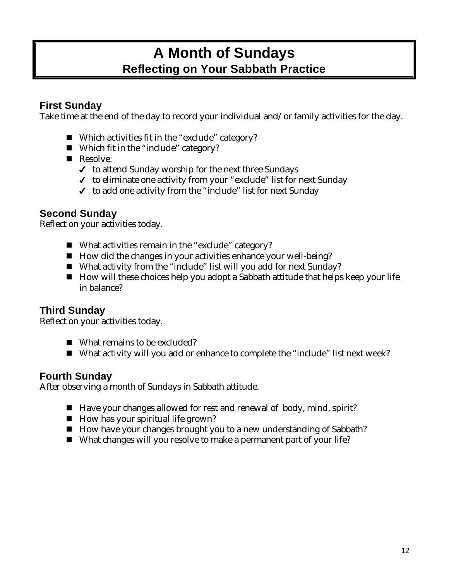## **A Month of Sundays Reflecting on Your Sabbath Practice**

## **First Sunday**

Take time at the end of the day to record your individual and/or family activities for the day.

- Which activities fit in the "exclude" category?
- Which fit in the "include" category?
- Resolve:
	- $\checkmark$  to attend Sunday worship for the next three Sundays
	- $\checkmark$  to eliminate one activity from your "exclude" list for next Sunday
	- $\checkmark$  to add one activity from the "include" list for next Sunday

## **Second Sunday**

Reflect on your activities today.

- What activities remain in the "exclude" category?
- How did the changes in your activities enhance your well-being?
- What activity from the "include" list will you add for next Sunday?
- $\blacksquare$  How will these choices help you adopt a Sabbath attitude that helps keep your life in balance?

## **Third Sunday**

Reflect on your activities today.

- What remains to be excluded?
- What activity will you add or enhance to complete the "include" list next week?

### **Fourth Sunday**

After observing a month of Sundays in Sabbath attitude.

- Have your changes allowed for rest and renewal of body, mind, spirit?
- $\blacksquare$  How has your spiritual life grown?
- How have your changes brought you to a new understanding of Sabbath?
- What changes will you resolve to make a permanent part of your life?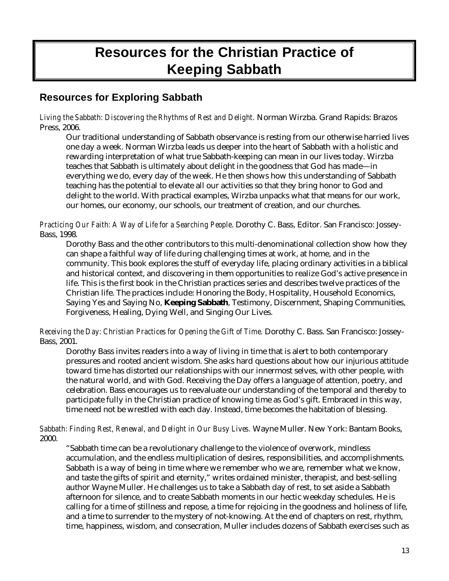# **Resources for the Christian Practice of Keeping Sabbath**

## **Resources for Exploring Sabbath**

*Living the Sabbath: Discovering the Rhythms of Rest and Delight.* Norman Wirzba. Grand Rapids: Brazos Press, 2006.

Our traditional understanding of Sabbath observance is resting from our otherwise harried lives one day a week. Norman Wirzba leads us deeper into the heart of Sabbath with a holistic and rewarding interpretation of what true Sabbath-keeping can mean in our lives today. Wirzba teaches that Sabbath is ultimately about delight in the goodness that God has made—in everything we do, every day of the week. He then shows how this understanding of Sabbath teaching has the potential to elevate all our activities so that they bring honor to God and delight to the world. With practical examples, Wirzba unpacks what that means for our work, our homes, our economy, our schools, our treatment of creation, and our churches.

*Practicing Our Faith: A Way of Life for a Searching People*. Dorothy C. Bass, Editor. San Francisco: Jossey-Bass, 1998.

Dorothy Bass and the other contributors to this multi-denominational collection show how they can shape a faithful way of life during challenging times at work, at home, and in the community. This book explores the stuff of everyday life, placing ordinary activities in a biblical and historical context, and discovering in them opportunities to realize God's active presence in life. This is the first book in the Christian practices series and describes twelve practices of the Christian life. The practices include: Honoring the Body, Hospitality, Household Economics, Saying Yes and Saying No, **Keeping Sabbath**, Testimony, Discernment, Shaping Communities, Forgiveness, Healing, Dying Well, and Singing Our Lives.

*Receiving the Day: Christian Practices for Opening the Gift of Time.* Dorothy C. Bass. San Francisco: Jossey-Bass, 2001.

Dorothy Bass invites readers into a way of living in time that is alert to both contemporary pressures and rooted ancient wisdom. She asks hard questions about how our injurious attitude toward time has distorted our relationships with our innermost selves, with other people, with the natural world, and with God. Receiving the Day offers a language of attention, poetry, and celebration. Bass encourages us to reevaluate our understanding of the temporal and thereby to participate fully in the Christian practice of knowing time as God's gift. Embraced in this way, time need not be wrestled with each day. Instead, time becomes the habitation of blessing.

*Sabbath: Finding Rest, Renewal, and Delight in Our Busy Lives.* Wayne Muller. New York: Bantam Books, 2000.

"Sabbath time can be a revolutionary challenge to the violence of overwork, mindless accumulation, and the endless multiplication of desires, responsibilities, and accomplishments. Sabbath is a way of being in time where we remember who we are, remember what we know, and taste the gifts of spirit and eternity," writes ordained minister, therapist, and best-selling author Wayne Muller. He challenges us to take a Sabbath day of rest, to set aside a Sabbath afternoon for silence, and to create Sabbath moments in our hectic weekday schedules. He is calling for a time of stillness and repose, a time for rejoicing in the goodness and holiness of life, and a time to surrender to the mystery of not-knowing. At the end of chapters on rest, rhythm, time, happiness, wisdom, and consecration, Muller includes dozens of Sabbath exercises such as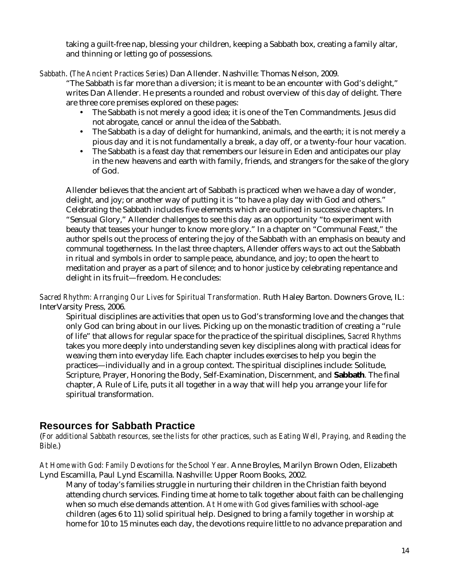taking a guilt-free nap, blessing your children, keeping a Sabbath box, creating a family altar, and thinning or letting go of possessions.

*Sabbath*. (*The Ancient Practices Series*) Dan Allender. Nashville: Thomas Nelson, 2009.

"The Sabbath is far more than a diversion; it is meant to be an encounter with God's delight," writes Dan Allender. He presents a rounded and robust overview of this day of delight. There are three core premises explored on these pages:

- The Sabbath is not merely a good idea; it is one of the Ten Commandments. Jesus did not abrogate, cancel or annul the idea of the Sabbath.
- The Sabbath is a day of delight for humankind, animals, and the earth; it is not merely a pious day and it is not fundamentally a break, a day off, or a twenty-four hour vacation.
- The Sabbath is a feast day that remembers our leisure in Eden and anticipates our play in the new heavens and earth with family, friends, and strangers for the sake of the glory of God.

Allender believes that the ancient art of Sabbath is practiced when we have a day of wonder, delight, and joy; or another way of putting it is "to have a play day with God and others." Celebrating the Sabbath includes five elements which are outlined in successive chapters. In "Sensual Glory," Allender challenges to see this day as an opportunity "to experiment with beauty that teases your hunger to know more glory." In a chapter on "Communal Feast," the author spells out the process of entering the joy of the Sabbath with an emphasis on beauty and communal togetherness. In the last three chapters, Allender offers ways to act out the Sabbath in ritual and symbols in order to sample peace, abundance, and joy; to open the heart to meditation and prayer as a part of silence; and to honor justice by celebrating repentance and delight in its fruit—freedom. He concludes:

*Sacred Rhythm: Arranging Our Lives for Spiritual Transformation.* Ruth Haley Barton. Downers Grove, IL: InterVarsity Press, 2006.

Spiritual disciplines are activities that open us to God's transforming love and the changes that only God can bring about in our lives. Picking up on the monastic tradition of creating a "rule of life" that allows for regular space for the practice of the spiritual disciplines, *Sacred Rhythms* takes you more deeply into understanding seven key disciplines along with practical ideas for weaving them into everyday life. Each chapter includes exercises to help you begin the practices—individually and in a group context. The spiritual disciplines include: Solitude, Scripture, Prayer, Honoring the Body, Self-Examination, Discernment, and **Sabbath**. The final chapter, A Rule of Life, puts it all together in a way that will help you arrange your life for spiritual transformation.

## **Resources for Sabbath Practice**

(*For additional Sabbath resources, see the lists for other practices, such as Eating Well, Praying, and Reading the Bible*.)

*At Home with God: Family Devotions for the School Year.* Anne Broyles, Marilyn Brown Oden, Elizabeth Lynd Escamilla, Paul Lynd Escamilla. Nashville: Upper Room Books, 2002.

Many of today's families struggle in nurturing their children in the Christian faith beyond attending church services. Finding time at home to talk together about faith can be challenging when so much else demands attention. *At Home with God* gives families with school-age children (ages 6 to 11) solid spiritual help. Designed to bring a family together in worship at home for 10 to 15 minutes each day, the devotions require little to no advance preparation and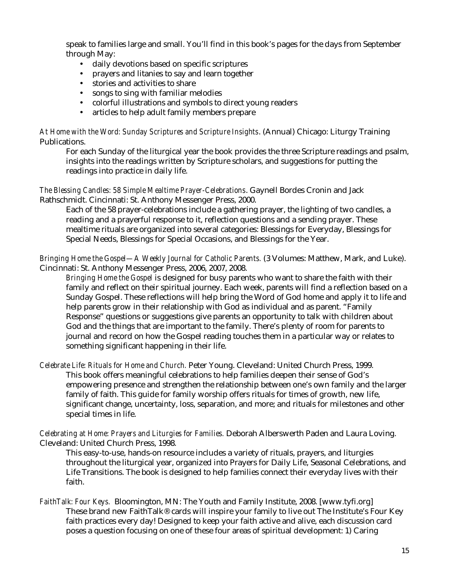speak to families large and small. You'll find in this book's pages for the days from September through May:

- daily devotions based on specific scriptures
- prayers and litanies to say and learn together
- stories and activities to share
- songs to sing with familiar melodies
- colorful illustrations and symbols to direct young readers
- articles to help adult family members prepare

*At Home with the Word: Sunday Scriptures and Scripture Insights*. (Annual) Chicago: Liturgy Training Publications.

For each Sunday of the liturgical year the book provides the three Scripture readings and psalm, insights into the readings written by Scripture scholars, and suggestions for putting the readings into practice in daily life.

*The Blessing Candles: 58 Simple Mealtime Prayer-Celebrations*. Gaynell Bordes Cronin and Jack Rathschmidt. Cincinnati: St. Anthony Messenger Press, 2000.

Each of the 58 prayer-celebrations include a gathering prayer, the lighting of two candles, a reading and a prayerful response to it, reflection questions and a sending prayer. These mealtime rituals are organized into several categories: Blessings for Everyday, Blessings for Special Needs, Blessings for Special Occasions, and Blessings for the Year.

*Bringing Home the Gospel—A Weekly Journal for Catholic Parents.* (3 Volumes: Matthew, Mark, and Luke). Cincinnati: St. Anthony Messenger Press, 2006, 2007, 2008.

*Bringing Home the Gospel* is designed for busy parents who want to share the faith with their family and reflect on their spiritual journey. Each week, parents will find a reflection based on a Sunday Gospel. These reflections will help bring the Word of God home and apply it to life and help parents grow in their relationship with God as individual and as parent. "Family Response" questions or suggestions give parents an opportunity to talk with children about God and the things that are important to the family. There's plenty of room for parents to journal and record on how the Gospel reading touches them in a particular way or relates to something significant happening in their life.

*Celebrate Life: Rituals for Home and Church.* Peter Young. Cleveland: United Church Press, 1999.

This book offers meaningful celebrations to help families deepen their sense of God's empowering presence and strengthen the relationship between one's own family and the larger family of faith. This guide for family worship offers rituals for times of growth, new life, significant change, uncertainty, loss, separation, and more; and rituals for milestones and other special times in life.

*Celebrating at Home: Prayers and Liturgies for Families.* Deborah Alberswerth Paden and Laura Loving. Cleveland: United Church Press, 1998.

This easy-to-use, hands-on resource includes a variety of rituals, prayers, and liturgies throughout the liturgical year, organized into Prayers for Daily Life, Seasonal Celebrations, and Life Transitions. The book is designed to help families connect their everyday lives with their faith.

*FaithTalk: Four Keys.* Bloomington, MN: The Youth and Family Institute, 2008. [www.tyfi.org] These brand new FaithTalk® cards will inspire your family to live out The Institute's Four Key faith practices every day! Designed to keep your faith active and alive, each discussion card poses a question focusing on one of these four areas of spiritual development: 1) Caring